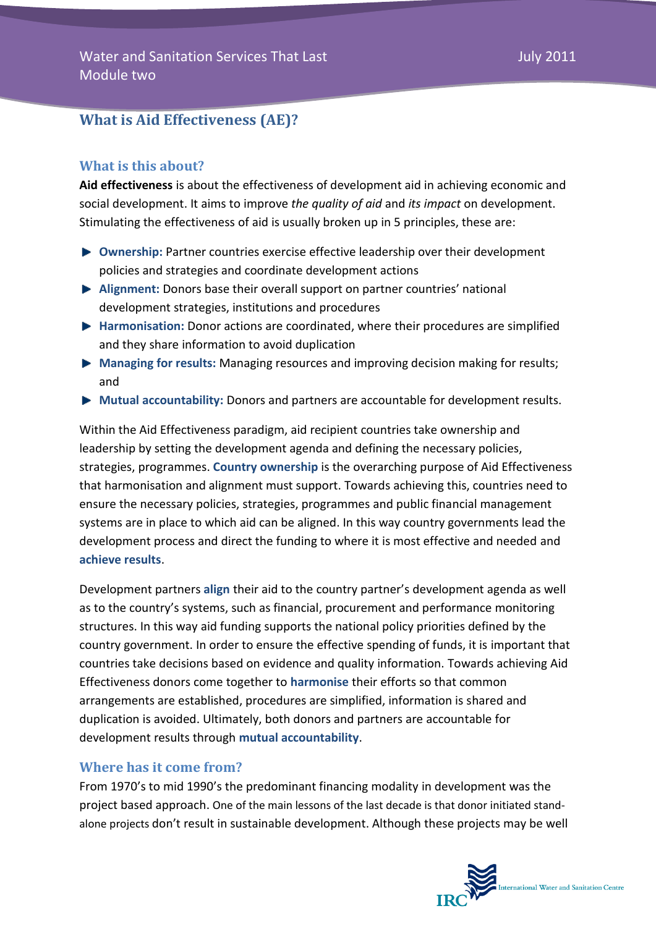# **What is Aid Effectiveness (AE)?**

## **What is this about?**

**Aid effectiveness** is about the effectiveness of development aid in achieving economic and social development. It aims to improve *the quality of aid* and *its impact* on development. Stimulating the effectiveness of aid is usually broken up in 5 principles, these are:

- **Ownership:** Partner countries exercise effective leadership over their development policies and strategies and coordinate development actions
- **Alignment:** Donors base their overall support on partner countries' national development strategies, institutions and procedures
- **Harmonisation:** Donor actions are coordinated, where their procedures are simplified and they share information to avoid duplication
- **Managing for results:** Managing resources and improving decision making for results; and
- **Mutual accountability:** Donors and partners are accountable for development results.

Within the Aid Effectiveness paradigm, aid recipient countries take ownership and leadership by setting the development agenda and defining the necessary policies, strategies, programmes. **Country ownership** is the overarching purpose of Aid Effectiveness that harmonisation and alignment must support. Towards achieving this, countries need to ensure the necessary policies, strategies, programmes and public financial management systems are in place to which aid can be aligned. In this way country governments lead the development process and direct the funding to where it is most effective and needed and **achieve results**.

Development partners **align** their aid to the country partner's development agenda as well as to the country's systems, such as financial, procurement and performance monitoring structures. In this way aid funding supports the national policy priorities defined by the country government. In order to ensure the effective spending of funds, it is important that countries take decisions based on evidence and quality information. Towards achieving Aid Effectiveness donors come together to **harmonise** their efforts so that common arrangements are established, procedures are simplified, information is shared and duplication is avoided. Ultimately, both donors and partners are accountable for development results through **mutual accountability**.

### **Where has it come from?**

From 1970's to mid 1990's the predominant financing modality in development was the project based approach. One of the main lessons of the last decade is that donor initiated standalone projects don't result in sustainable development. Although these projects may be well